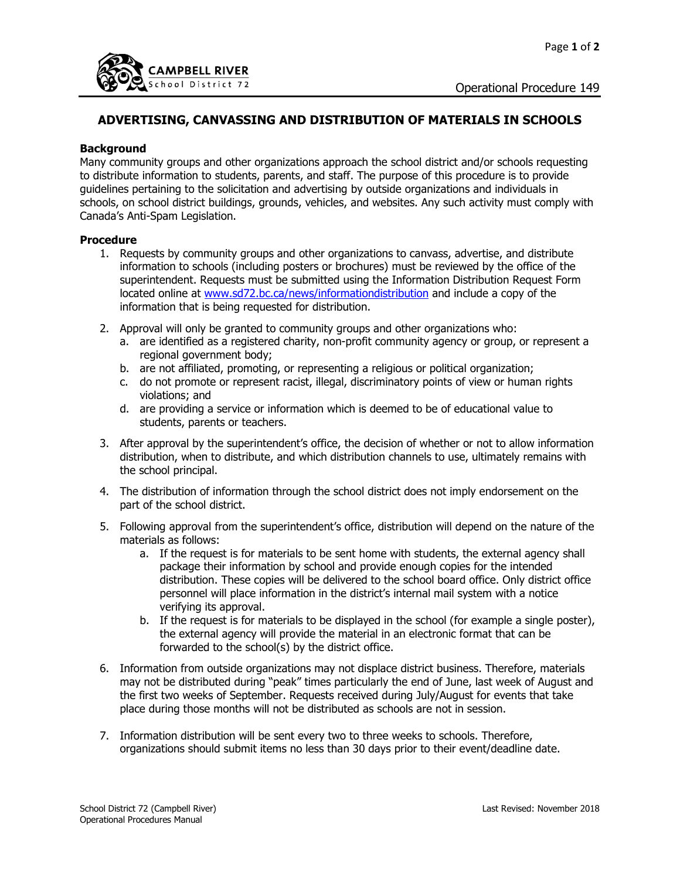

## **ADVERTISING, CANVASSING AND DISTRIBUTION OF MATERIALS IN SCHOOLS**

## **Background**

Many community groups and other organizations approach the school district and/or schools requesting to distribute information to students, parents, and staff. The purpose of this procedure is to provide guidelines pertaining to the solicitation and advertising by outside organizations and individuals in schools, on school district buildings, grounds, vehicles, and websites. Any such activity must comply with Canada's Anti-Spam Legislation.

## **Procedure**

- 1. Requests by community groups and other organizations to canvass, advertise, and distribute information to schools (including posters or brochures) must be reviewed by the office of the superintendent. Requests must be submitted using the Information Distribution Request Form located online at [www.sd72.bc.ca/news/informationdistribution](http://www.sd72.bc.ca/news/informationdistribution) and include a copy of the information that is being requested for distribution.
- 2. Approval will only be granted to community groups and other organizations who:
	- a. are identified as a registered charity, non-profit community agency or group, or represent a regional government body;
	- b. are not affiliated, promoting, or representing a religious or political organization;
	- c. do not promote or represent racist, illegal, discriminatory points of view or human rights violations; and
	- d. are providing a service or information which is deemed to be of educational value to students, parents or teachers.
- 3. After approval by the superintendent's office, the decision of whether or not to allow information distribution, when to distribute, and which distribution channels to use, ultimately remains with the school principal.
- 4. The distribution of information through the school district does not imply endorsement on the part of the school district.
- 5. Following approval from the superintendent's office, distribution will depend on the nature of the materials as follows:
	- a. If the request is for materials to be sent home with students, the external agency shall package their information by school and provide enough copies for the intended distribution. These copies will be delivered to the school board office. Only district office personnel will place information in the district's internal mail system with a notice verifying its approval.
	- b. If the request is for materials to be displayed in the school (for example a single poster), the external agency will provide the material in an electronic format that can be forwarded to the school(s) by the district office.
- 6. Information from outside organizations may not displace district business. Therefore, materials may not be distributed during "peak" times particularly the end of June, last week of August and the first two weeks of September. Requests received during July/August for events that take place during those months will not be distributed as schools are not in session.
- 7. Information distribution will be sent every two to three weeks to schools. Therefore, organizations should submit items no less than 30 days prior to their event/deadline date.